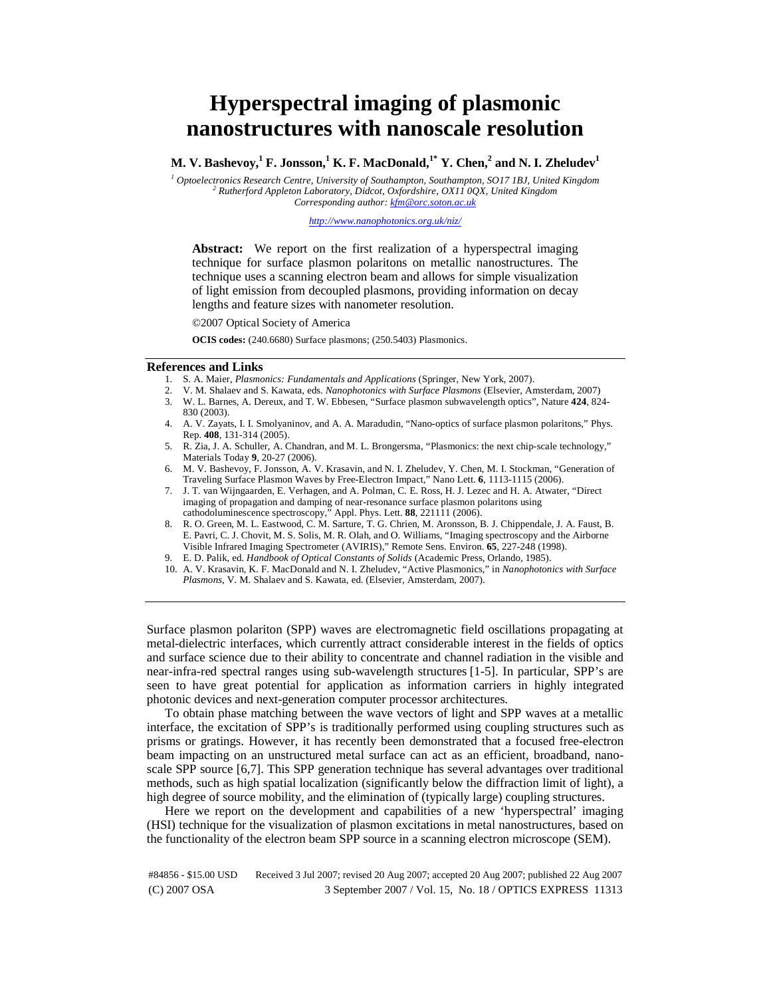## **Hyperspectral imaging of plasmonic nanostructures with nanoscale resolution**

 $\mathbf{M}.$   $\mathbf{V}.$  Bashevoy, $^{1}\mathbf{F}.$  Jonsson, $^{1}\mathbf{K}.$   $\mathbf{F}.$  MacDonald, $^{1*}\mathbf{Y}.$  Chen, $^{2}$  and  $\mathbf{N}.$  I. Zheludev $^{1}$ 

<sup>1</sup> Optoelectronics Research Centre, University of Southampton, Southampton, SO17 1BJ, United Kingdom <sup>2</sup> Butherford Appleton Laboratory, Didget Oxfordshire, QV11 0QV, United Kingdom  *Rutherford Appleton Laboratory, Didcot, Oxfordshire, OX11 0QX, United Kingdom Corresponding author: kfm@orc.soton.ac.uk*

*http://www.nanophotonics.org.uk/niz/*

**Abstract:** We report on the first realization of a hyperspectral imaging technique for surface plasmon polaritons on metallic nanostructures. The technique uses a scanning electron beam and allows for simple visualization of light emission from decoupled plasmons, providing information on decay lengths and feature sizes with nanometer resolution.

©2007 Optical Society of America

**OCIS codes:** (240.6680) Surface plasmons; (250.5403) Plasmonics.

## **References and Links**

- 1. S. A. Maier, *Plasmonics: Fundamentals and Applications* (Springer, New York, 2007).
- 2. V. M. Shalaev and S. Kawata, eds. *Nanophotonics with Surface Plasmons* (Elsevier, Amsterdam, 2007) 3. W. L. Barnes, A. Dereux, and T. W. Ebbesen, "Surface plasmon subwavelength optics", Nature **424**, 824-
- 830 (2003). 4. A. V. Zayats, I. I. Smolyaninov, and A. A. Maradudin, "Nano-optics of surface plasmon polaritons," Phys.
- Rep. **408**, 131-314 (2005).
- 5. R. Zia, J. A. Schuller, A. Chandran, and M. L. Brongersma, "Plasmonics: the next chip-scale technology," Materials Today **9**, 20-27 (2006).
- 6. M. V. Bashevoy, F. Jonsson, A. V. Krasavin, and N. I. Zheludev, Y. Chen, M. I. Stockman, "Generation of Traveling Surface Plasmon Waves by Free-Electron Impact," Nano Lett. **6**, 1113-1115 (2006).
- 7. J. T. van Wijngaarden, E. Verhagen, and A. Polman, C. E. Ross, H. J. Lezec and H. A. Atwater, "Direct imaging of propagation and damping of near-resonance surface plasmon polaritons using cathodoluminescence spectroscopy," Appl. Phys. Lett. **88**, 221111 (2006).
- 8. R. O. Green, M. L. Eastwood, C. M. Sarture, T. G. Chrien, M. Aronsson, B. J. Chippendale, J. A. Faust, B. E. Pavri, C. J. Chovit, M. S. Solis, M. R. Olah, and O. Williams, "Imaging spectroscopy and the Airborne Visible Infrared Imaging Spectrometer (AVIRIS)," Remote Sens. Environ. **65**, 227-248 (1998).
- 9. E. D. Palik, ed. *Handbook of Optical Constants of Solids* (Academic Press, Orlando, 1985).
- 10. A. V. Krasavin, K. F. MacDonald and N. I. Zheludev, "Active Plasmonics," in *Nanophotonics with Surface Plasmons*, V. M. Shalaev and S. Kawata, ed. (Elsevier, Amsterdam, 2007).

Surface plasmon polariton (SPP) waves are electromagnetic field oscillations propagating at metal-dielectric interfaces, which currently attract considerable interest in the fields of optics and surface science due to their ability to concentrate and channel radiation in the visible and near-infra-red spectral ranges using sub-wavelength structures [1-5]. In particular, SPP's are seen to have great potential for application as information carriers in highly integrated photonic devices and next-generation computer processor architectures.

To obtain phase matching between the wave vectors of light and SPP waves at a metallic interface, the excitation of SPP's is traditionally performed using coupling structures such as prisms or gratings. However, it has recently been demonstrated that a focused free-electron beam impacting on an unstructured metal surface can act as an efficient, broadband, nanoscale SPP source [6,7]. This SPP generation technique has several advantages over traditional methods, such as high spatial localization (significantly below the diffraction limit of light), a high degree of source mobility, and the elimination of (typically large) coupling structures.

Here we report on the development and capabilities of a new 'hyperspectral' imaging (HSI) technique for the visualization of plasmon excitations in metal nanostructures, based on the functionality of the electron beam SPP source in a scanning electron microscope (SEM).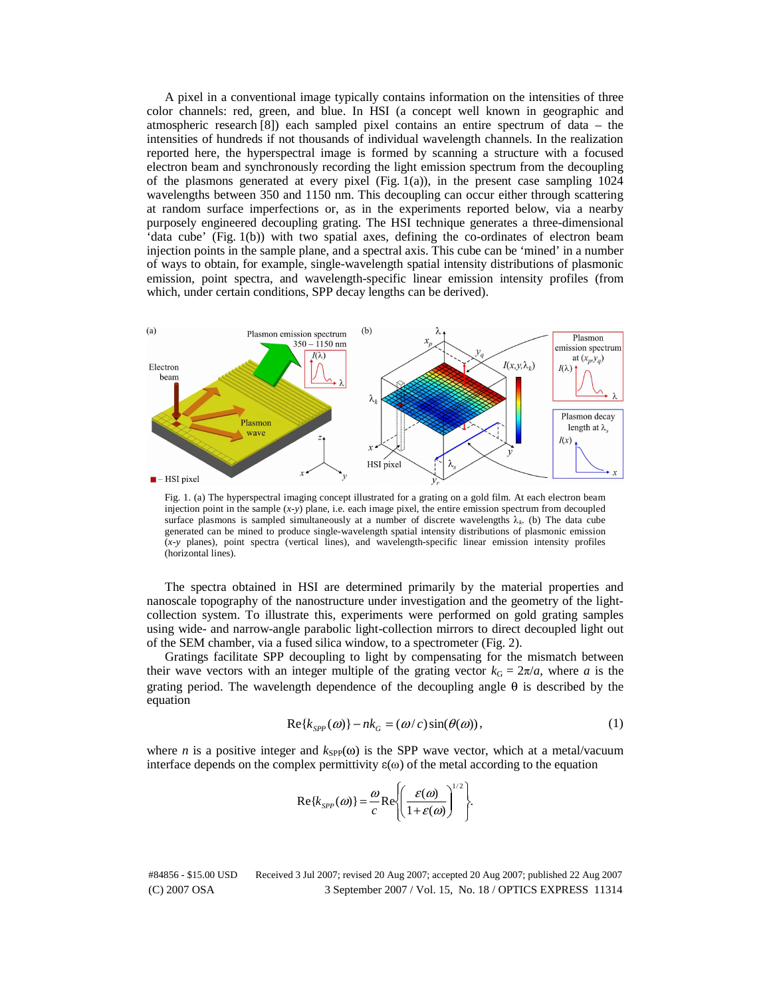A pixel in a conventional image typically contains information on the intensities of three color channels: red, green, and blue. In HSI (a concept well known in geographic and atmospheric research [8]) each sampled pixel contains an entire spectrum of data – the intensities of hundreds if not thousands of individual wavelength channels. In the realization reported here, the hyperspectral image is formed by scanning a structure with a focused electron beam and synchronously recording the light emission spectrum from the decoupling of the plasmons generated at every pixel (Fig. 1(a)), in the present case sampling  $1024$ wavelengths between 350 and 1150 nm. This decoupling can occur either through scattering at random surface imperfections or, as in the experiments reported below, via a nearby purposely engineered decoupling grating. The HSI technique generates a three-dimensional 'data cube' (Fig. 1(b)) with two spatial axes, defining the co-ordinates of electron beam injection points in the sample plane, and a spectral axis. This cube can be 'mined' in a number of ways to obtain, for example, single-wavelength spatial intensity distributions of plasmonic emission, point spectra, and wavelength-specific linear emission intensity profiles (from which, under certain conditions, SPP decay lengths can be derived).



Fig. 1. (a) The hyperspectral imaging concept illustrated for a grating on a gold film. At each electron beam injection point in the sample  $(x-y)$  plane, i.e. each image pixel, the entire emission spectrum from decoupled surface plasmons is sampled simultaneously at a number of discrete wavelengths λ*<sup>k</sup>*. (b) The data cube generated can be mined to produce single-wavelength spatial intensity distributions of plasmonic emission (*x-y* planes), point spectra (vertical lines), and wavelength-specific linear emission intensity profiles (horizontal lines).

The spectra obtained in HSI are determined primarily by the material properties and nanoscale topography of the nanostructure under investigation and the geometry of the lightcollection system. To illustrate this, experiments were performed on gold grating samples using wide- and narrow-angle parabolic light-collection mirrors to direct decoupled light out of the SEM chamber, via a fused silica window, to a spectrometer (Fig. 2).

Gratings facilitate SPP decoupling to light by compensating for the mismatch between their wave vectors with an integer multiple of the grating vector  $k_G = 2\pi/a$ , where *a* is the grating period. The wavelength dependence of the decoupling angle  $\theta$  is described by the equation

$$
\text{Re}\{k_{SPP}(\omega)\} - nk_G = (\omega/c)\sin(\theta(\omega)),\tag{1}
$$

where *n* is a positive integer and  $k_{\text{SPP}}(\omega)$  is the SPP wave vector, which at a metal/vacuum interface depends on the complex permittivity  $\varepsilon(\omega)$  of the metal according to the equation

$$
\mathrm{Re}\{k_{SPP}(\omega)\} = \frac{\omega}{c}\mathrm{Re}\left\{\left(\frac{\varepsilon(\omega)}{1+\varepsilon(\omega)}\right)^{1/2}\right\}.
$$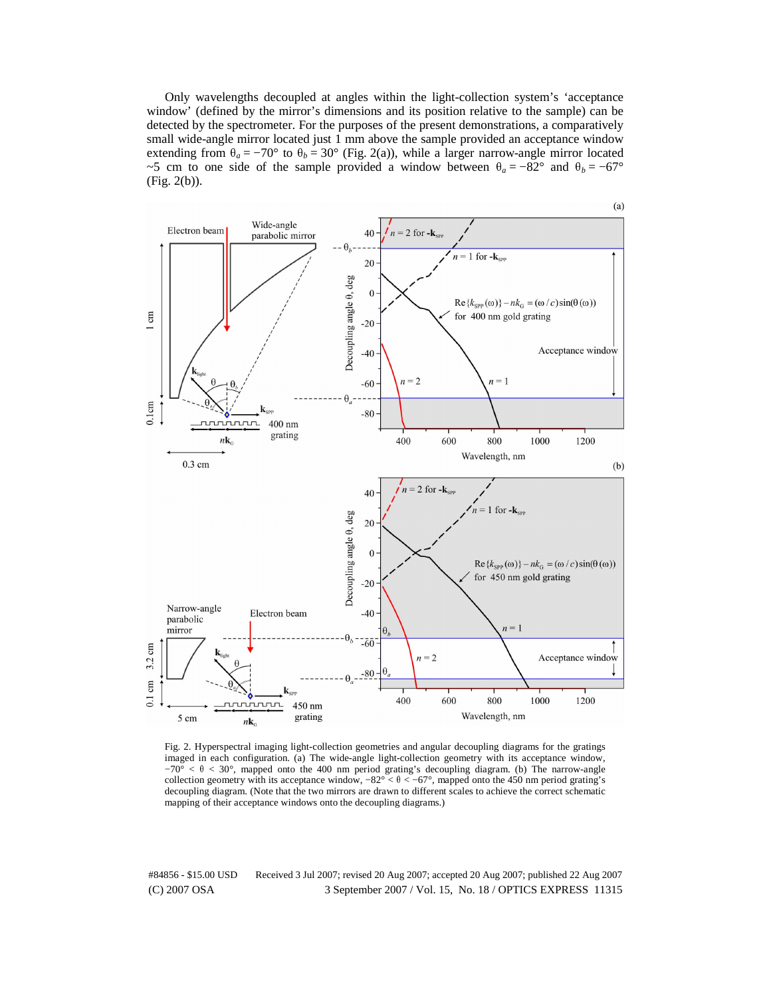Only wavelengths decoupled at angles within the light-collection system's 'acceptance window' (defined by the mirror's dimensions and its position relative to the sample) can be detected by the spectrometer. For the purposes of the present demonstrations, a comparatively small wide-angle mirror located just 1 mm above the sample provided an acceptance window extending from  $\theta_a = -70^\circ$  to  $\theta_b = 30^\circ$  (Fig. 2(a)), while a larger narrow-angle mirror located ~5 cm to one side of the sample provided a window between  $\theta_a = -82^\circ$  and  $\theta_b = -67^\circ$ (Fig. 2(b)).



Fig. 2. Hyperspectral imaging light-collection geometries and angular decoupling diagrams for the gratings imaged in each configuration. (a) The wide-angle light-collection geometry with its acceptance window,  $-70^{\circ}$  <  $\theta$  < 30°, mapped onto the 400 nm period grating's decoupling diagram. (b) The narrow-angle collection geometry with its acceptance window,  $-82^{\circ} < \theta < -67^{\circ}$ , mapped onto the 450 nm period grating's decoupling diagram. (Note that the two mirrors are drawn to different scales to achieve the correct schematic mapping of their acceptance windows onto the decoupling diagrams.)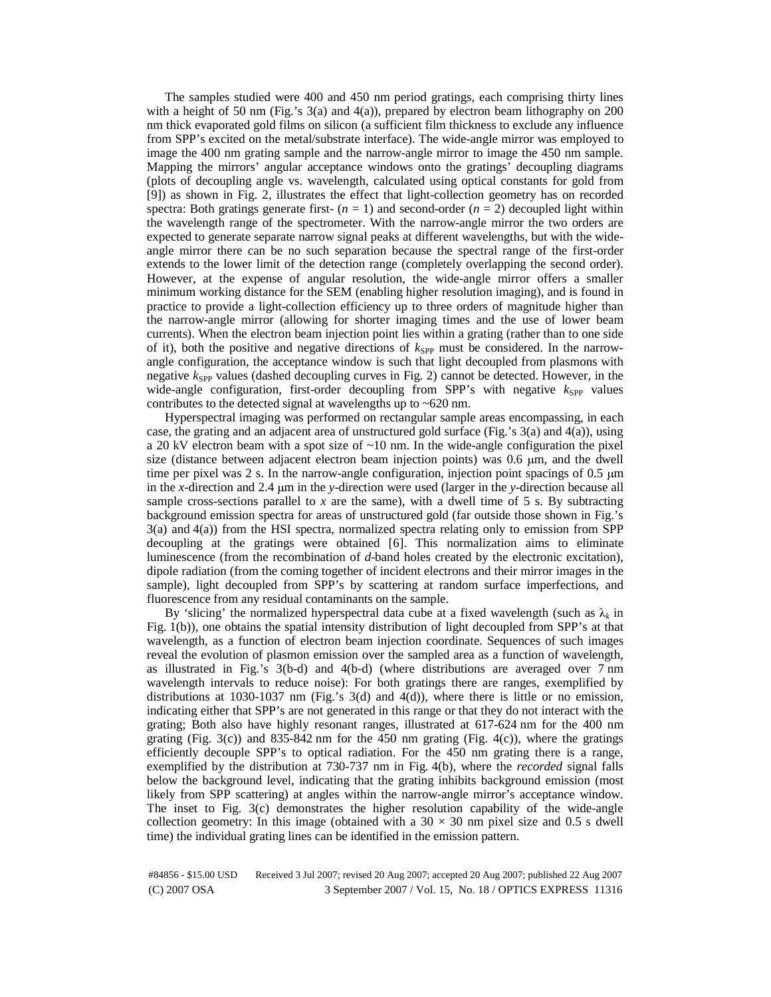The samples studied were 400 and 450 nm period gratings, each comprising thirty lines with a height of 50 nm (Fig.'s 3(a) and 4(a)), prepared by electron beam lithography on 200 nm thick evaporated gold films on silicon (a sufficient film thickness to exclude any influence from SPP's excited on the metal/substrate interface). The wide-angle mirror was employed to image the 400 nm grating sample and the narrow-angle mirror to image the 450 nm sample. Mapping the mirrors' angular acceptance windows onto the gratings' decoupling diagrams (plots of decoupling angle vs. wavelength, calculated using optical constants for gold from [9]) as shown in Fig. 2, illustrates the effect that light-collection geometry has on recorded spectra: Both gratings generate first- $(n = 1)$  and second-order  $(n = 2)$  decoupled light within the wavelength range of the spectrometer. With the narrow-angle mirror the two orders are expected to generate separate narrow signal peaks at different wavelengths, but with the wideangle mirror there can be no such separation because the spectral range of the first-order extends to the lower limit of the detection range (completely overlapping the second order). However, at the expense of angular resolution, the wide-angle mirror offers a smaller minimum working distance for the SEM (enabling higher resolution imaging), and is found in practice to provide a light-collection efficiency up to three orders of magnitude higher than the narrow-angle mirror (allowing for shorter imaging times and the use of lower beam currents). When the electron beam injection point lies within a grating (rather than to one side of it), both the positive and negative directions of  $k_{\text{SPP}}$  must be considered. In the narrowangle configuration, the acceptance window is such that light decoupled from plasmons with negative  $k_{\text{SPP}}$  values (dashed decoupling curves in Fig. 2) cannot be detected. However, in the wide-angle configuration, first-order decoupling from SPP's with negative  $k_{\text{SPP}}$  values contributes to the detected signal at wavelengths up to ~620 nm.

Hyperspectral imaging was performed on rectangular sample areas encompassing, in each case, the grating and an adjacent area of unstructured gold surface (Fig.'s 3(a) and 4(a)), using a 20 kV electron beam with a spot size of  $\sim$ 10 nm. In the wide-angle configuration the pixel size (distance between adjacent electron beam injection points) was 0.6 μm, and the dwell time per pixel was 2 s. In the narrow-angle configuration, injection point spacings of 0.5 μ<sup>m</sup> in the *x*-direction and 2.4 μm in the *y*-direction were used (larger in the *y*-direction because all sample cross-sections parallel to  $x$  are the same), with a dwell time of  $5 \text{ s}$ . By subtracting background emission spectra for areas of unstructured gold (far outside those shown in Fig.'s  $3(a)$  and  $4(a)$ ) from the HSI spectra, normalized spectra relating only to emission from SPP decoupling at the gratings were obtained [6]. This normalization aims to eliminate luminescence (from the recombination of *d*-band holes created by the electronic excitation), dipole radiation (from the coming together of incident electrons and their mirror images in the sample), light decoupled from SPP's by scattering at random surface imperfections, and fluorescence from any residual contaminants on the sample.

By 'slicing' the normalized hyperspectral data cube at a fixed wavelength (such as  $\lambda_k$  in Fig. 1(b)), one obtains the spatial intensity distribution of light decoupled from SPP's at that wavelength, as a function of electron beam injection coordinate. Sequences of such images reveal the evolution of plasmon emission over the sampled area as a function of wavelength, as illustrated in Fig.'s 3(b-d) and 4(b-d) (where distributions are averaged over 7 nm wavelength intervals to reduce noise): For both gratings there are ranges, exemplified by distributions at 1030-1037 nm (Fig.'s 3(d) and 4(d)), where there is little or no emission, indicating either that SPP's are not generated in this range or that they do not interact with the grating; Both also have highly resonant ranges, illustrated at 617-624 nm for the 400 nm grating (Fig. 3(c)) and 835-842 nm for the 450 nm grating (Fig. 4(c)), where the gratings efficiently decouple SPP's to optical radiation. For the 450 nm grating there is a range, exemplified by the distribution at 730-737 nm in Fig. 4(b), where the *recorded* signal falls below the background level, indicating that the grating inhibits background emission (most likely from SPP scattering) at angles within the narrow-angle mirror's acceptance window. The inset to Fig. 3(c) demonstrates the higher resolution capability of the wide-angle collection geometry: In this image (obtained with a  $30 \times 30$  nm pixel size and 0.5 s dwell time) the individual grating lines can be identified in the emission pattern.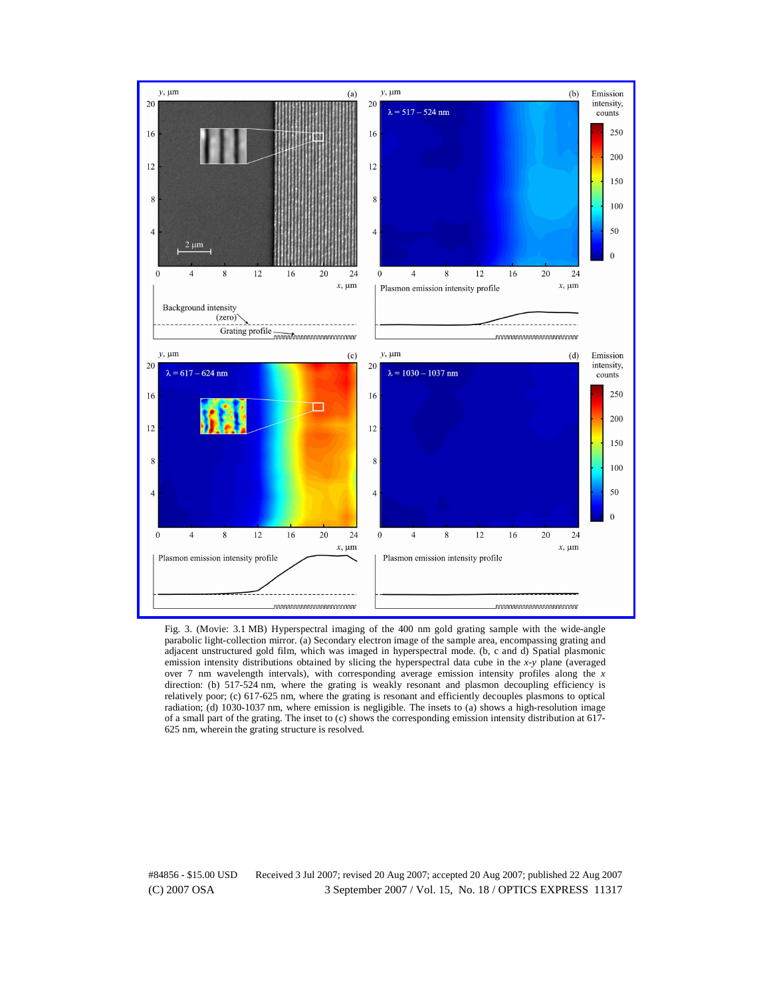

Fig. 3. (Movie: 3.1 MB) Hyperspectral imaging of the 400 nm gold grating sample with the wide-angle parabolic light-collection mirror. (a) Secondary electron image of the sample area, encompassing grating and adjacent unstructured gold film, which was imaged in hyperspectral mode. (b, c and d) Spatial plasmonic emission intensity distributions obtained by slicing the hyperspectral data cube in the *x-y* plane (averaged over 7 nm wavelength intervals), with corresponding average emission intensity profiles along the *x* direction: (b) 517-524 nm, where the grating is weakly resonant and plasmon decoupling efficiency is relatively poor; (c) 617-625 nm, where the grating is resonant and efficiently decouples plasmons to optical radiation; (d) 1030-1037 nm, where emission is negligible. The insets to (a) shows a high-resolution image of a small part of the grating. The inset to (c) shows the corresponding emission intensity distribution at 617- 625 nm, wherein the grating structure is resolved.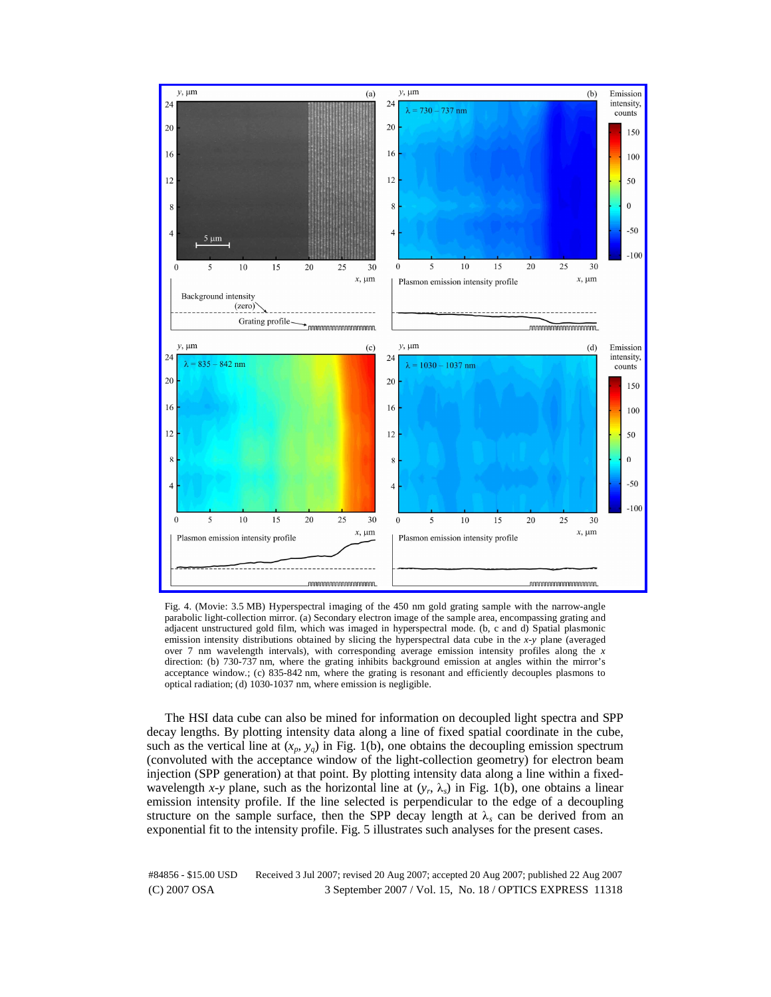

Fig. 4. (Movie: 3.5 MB) Hyperspectral imaging of the 450 nm gold grating sample with the narrow-angle parabolic light-collection mirror. (a) Secondary electron image of the sample area, encompassing grating and adjacent unstructured gold film, which was imaged in hyperspectral mode. (b, c and d) Spatial plasmonic emission intensity distributions obtained by slicing the hyperspectral data cube in the *x-y* plane (averaged over 7 nm wavelength intervals), with corresponding average emission intensity profiles along the *x* direction: (b) 730-737 nm, where the grating inhibits background emission at angles within the mirror's acceptance window.; (c) 835-842 nm, where the grating is resonant and efficiently decouples plasmons to optical radiation; (d) 1030-1037 nm, where emission is negligible.

The HSI data cube can also be mined for information on decoupled light spectra and SPP decay lengths. By plotting intensity data along a line of fixed spatial coordinate in the cube, such as the vertical line at  $(x_p, y_q)$  in Fig. 1(b), one obtains the decoupling emission spectrum (convoluted with the acceptance window of the light-collection geometry) for electron beam injection (SPP generation) at that point. By plotting intensity data along a line within a fixedwavelength *x*-y plane, such as the horizontal line at  $(y_r, \lambda_s)$  in Fig. 1(b), one obtains a linear emission intensity profile. If the line selected is perpendicular to the edge of a decoupling structure on the sample surface, then the SPP decay length at  $\lambda_s$  can be derived from an exponential fit to the intensity profile. Fig. 5 illustrates such analyses for the present cases.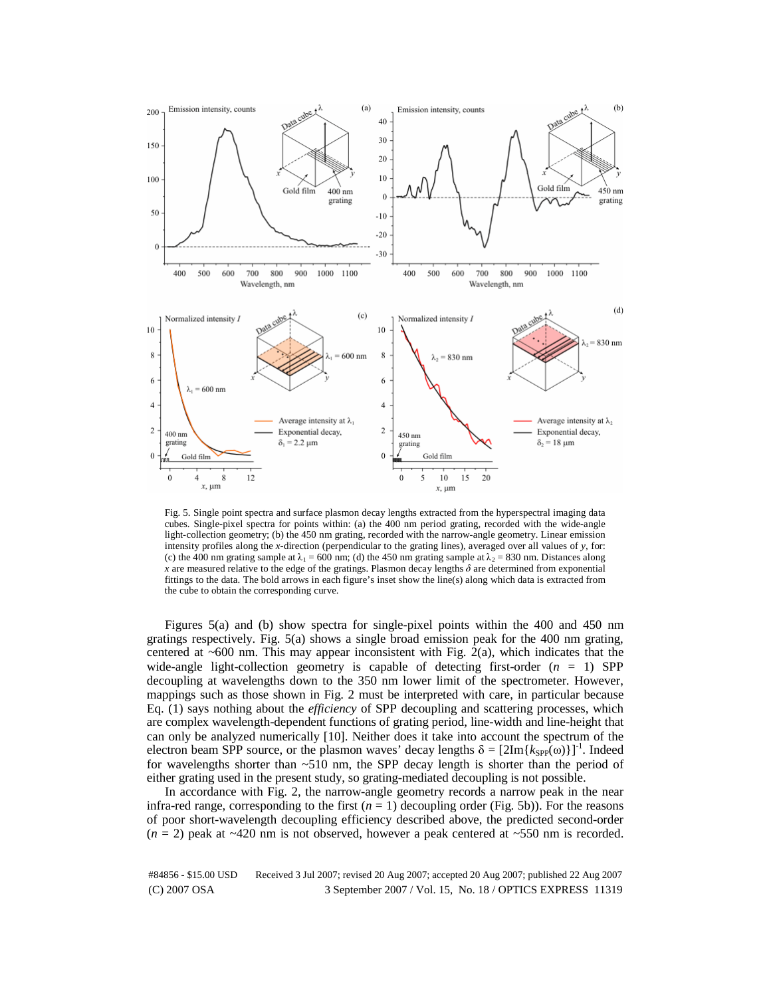

Fig. 5. Single point spectra and surface plasmon decay lengths extracted from the hyperspectral imaging data cubes. Single-pixel spectra for points within: (a) the 400 nm period grating, recorded with the wide-angle light-collection geometry; (b) the 450 nm grating, recorded with the narrow-angle geometry. Linear emission intensity profiles along the *x*-direction (perpendicular to the grating lines), averaged over all values of *y*, for: (c) the 400 nm grating sample at  $\lambda_1 = 600$  nm; (d) the 450 nm grating sample at  $\lambda_2 = 830$  nm. Distances along *x* are measured relative to the edge of the gratings. Plasmon decay lengths  $\delta$  are determined from exponential fittings to the data. The bold arrows in each figure's inset show the line(s) along which data is extracted from the cube to obtain the corresponding curve.

Figures 5(a) and (b) show spectra for single-pixel points within the 400 and 450 nm gratings respectively. Fig. 5(a) shows a single broad emission peak for the 400 nm grating, centered at  $~600$  nm. This may appear inconsistent with Fig. 2(a), which indicates that the wide-angle light-collection geometry is capable of detecting first-order (*n* = 1) SPP decoupling at wavelengths down to the 350 nm lower limit of the spectrometer. However, mappings such as those shown in Fig. 2 must be interpreted with care, in particular because Eq. (1) says nothing about the *efficiency* of SPP decoupling and scattering processes, which are complex wavelength-dependent functions of grating period, line-width and line-height that can only be analyzed numerically [10]. Neither does it take into account the spectrum of the electron beam SPP source, or the plasmon waves' decay lengths  $\delta = [2Im{k_{SPP}(\omega)}]^{-1}$ . Indeed for wavelengths shorter than ~510 nm, the SPP decay length is shorter than the period of either grating used in the present study, so grating-mediated decoupling is not possible.

In accordance with Fig. 2, the narrow-angle geometry records a narrow peak in the near infra-red range, corresponding to the first  $(n = 1)$  decoupling order (Fig. 5b)). For the reasons of poor short-wavelength decoupling efficiency described above, the predicted second-order  $(n = 2)$  peak at  $\sim$ 420 nm is not observed, however a peak centered at  $\sim$ 550 nm is recorded.